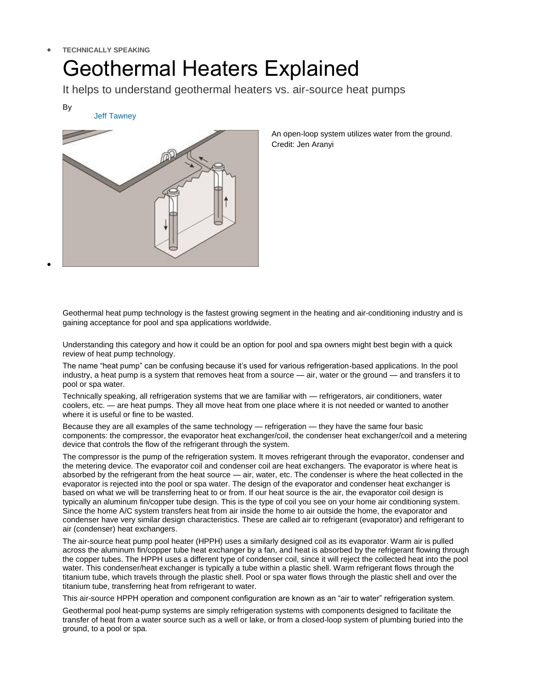## **TECHNICALLY SPEAKING**

[Jeff Tawney](http://www.poolspanews.com/find-articles.aspx?byline=Jeff%20Tawney)

## Geothermal Heaters Explained

It helps to understand geothermal heaters vs. air-source heat pumps

By

 $\bullet$ 

An open-loop system utilizes water from the ground. Credit: Jen Aranyi

Geothermal heat pump technology is the fastest growing segment in the heating and air-conditioning industry and is gaining acceptance for pool and spa applications worldwide.

Understanding this category and how it could be an option for pool and spa owners might best begin with a quick review of heat pump technology.

The name "heat pump" can be confusing because it's used for various refrigeration-based applications. In the pool industry, a heat pump is a system that removes heat from a source — air, water or the ground — and transfers it to pool or spa water.

Technically speaking, all refrigeration systems that we are familiar with — refrigerators, air conditioners, water coolers, etc. — are heat pumps. They all move heat from one place where it is not needed or wanted to another where it is useful or fine to be wasted.

Because they are all examples of the same technology — refrigeration — they have the same four basic components: the compressor, the evaporator heat exchanger/coil, the condenser heat exchanger/coil and a metering device that controls the flow of the refrigerant through the system.

The compressor is the pump of the refrigeration system. It moves refrigerant through the evaporator, condenser and the metering device. The evaporator coil and condenser coil are heat exchangers. The evaporator is where heat is absorbed by the refrigerant from the heat source — air, water, etc. The condenser is where the heat collected in the evaporator is rejected into the pool or spa water. The design of the evaporator and condenser heat exchanger is based on what we will be transferring heat to or from. If our heat source is the air, the evaporator coil design is typically an aluminum fin/copper tube design. This is the type of coil you see on your home air conditioning system. Since the home A/C system transfers heat from air inside the home to air outside the home, the evaporator and condenser have very similar design characteristics. These are called air to refrigerant (evaporator) and refrigerant to air (condenser) heat exchangers.

The air-source heat pump pool heater (HPPH) uses a similarly designed coil as its evaporator. Warm air is pulled across the aluminum fin/copper tube heat exchanger by a fan, and heat is absorbed by the refrigerant flowing through the copper tubes. The HPPH uses a different type of condenser coil, since it will reject the collected heat into the pool water. This condenser/heat exchanger is typically a tube within a plastic shell. Warm refrigerant flows through the titanium tube, which travels through the plastic shell. Pool or spa water flows through the plastic shell and over the titanium tube, transferring heat from refrigerant to water.

This air-source HPPH operation and component configuration are known as an "air to water" refrigeration system.

Geothermal pool heat-pump systems are simply refrigeration systems with components designed to facilitate the transfer of heat from a water source such as a well or lake, or from a closed-loop system of plumbing buried into the ground, to a pool or spa.